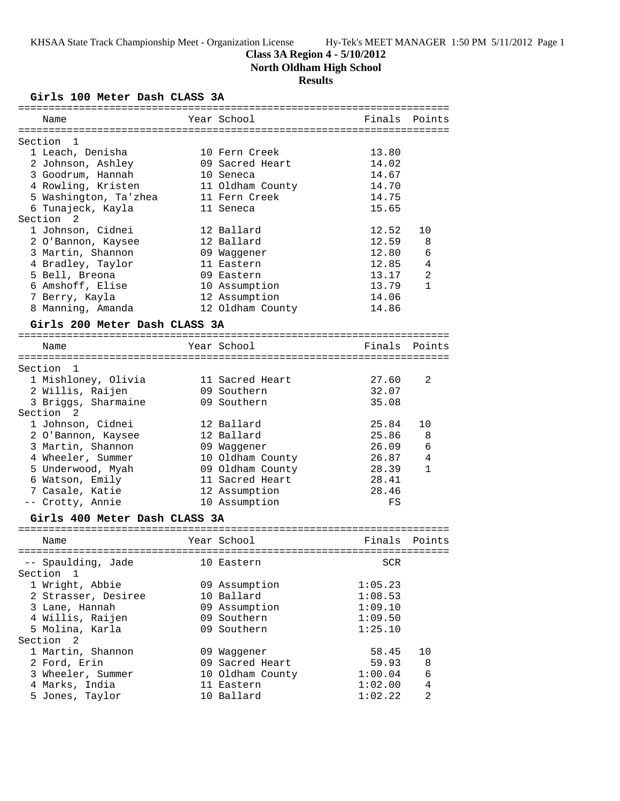**Class 3A Region 4 - 5/10/2012**

**North Oldham High School**

# **Results**

**Girls 100 Meter Dash CLASS 3A**

| ==========                                  |                  |                |                |
|---------------------------------------------|------------------|----------------|----------------|
| Name                                        | Year School      | Finals         | Points         |
|                                             |                  |                |                |
| Section<br>1                                |                  |                |                |
| 1 Leach, Denisha                            | 10 Fern Creek    | 13.80<br>14.02 |                |
| 2 Johnson, Ashley                           | 09 Sacred Heart  |                |                |
| 3 Goodrum, Hannah                           | 10 Seneca        | 14.67          |                |
| 4 Rowling, Kristen                          | 11 Oldham County | 14.70          |                |
| 5 Washington, Ta'zhea                       | 11 Fern Creek    | 14.75          |                |
| 6 Tunajeck, Kayla                           | 11 Seneca        | 15.65          |                |
| Section <sub>2</sub>                        |                  |                |                |
| 1 Johnson, Cidnei                           | 12 Ballard       | 12.52          | 10             |
| 2 O'Bannon, Kaysee                          | 12 Ballard       | 12.59          | 8              |
| 3 Martin, Shannon                           | 09 Waggener      | 12.80          | 6              |
| 4 Bradley, Taylor                           | 11 Eastern       | 12.85          | 4              |
| 5 Bell, Breona                              | 09 Eastern       | 13.17          | $\overline{a}$ |
| 6 Amshoff, Elise                            | 10 Assumption    | 13.79          | $\mathbf{1}$   |
| 7 Berry, Kayla                              | 12 Assumption    | 14.06          |                |
| 8 Manning, Amanda                           | 12 Oldham County | 14.86          |                |
| Girls 200 Meter Dash CLASS 3A               |                  |                |                |
|                                             |                  |                |                |
| Name                                        | Year School      | Finals         | Points         |
| Section<br>$\overline{1}$                   |                  |                |                |
| 1 Mishloney, Olivia                         | 11 Sacred Heart  | 27.60          | 2              |
|                                             | 09 Southern      | 32.07          |                |
| 2 Willis, Raijen                            |                  |                |                |
| 3 Briggs, Sharmaine<br>Section <sub>2</sub> | 09 Southern      | 35.08          |                |
|                                             |                  |                |                |
| 1 Johnson, Cidnei                           | 12 Ballard       | 25.84          | 10             |
| 2 O'Bannon, Kaysee                          | 12 Ballard       | 25.86          | 8              |
| 3 Martin, Shannon                           | 09 Waggener      | 26.09          | 6              |
| 4 Wheeler, Summer                           | 10 Oldham County | 26.87          | 4              |
| 5 Underwood, Myah                           | 09 Oldham County | 28.39          | 1              |
| 6 Watson, Emily                             | 11 Sacred Heart  | 28.41          |                |
| 7 Casale, Katie                             | 12 Assumption    | 28.46          |                |
| -- Crotty, Annie                            | 10 Assumption    | FS             |                |
| Girls 400 Meter Dash CLASS 3A               |                  |                |                |
|                                             |                  |                |                |
| Name                                        | Year School      | Finals         | Points         |
| -- Spaulding, Jade                          | 10 Eastern       | SCR            |                |
| Section<br>$\mathbf{1}$                     |                  |                |                |
| 1 Wright, Abbie                             | 09 Assumption    | 1:05.23        |                |
| 2 Strasser, Desiree                         | 10 Ballard       | 1:08.53        |                |
| 3 Lane, Hannah                              | 09 Assumption    | 1:09.10        |                |
|                                             | 09 Southern      | 1:09.50        |                |
| 4 Willis, Raijen                            |                  |                |                |
| 5 Molina, Karla<br>Section <sub>2</sub>     | 09 Southern      | 1:25.10        |                |
|                                             |                  |                |                |
| 1 Martin, Shannon                           | 09 Waggener      | 58.45          | 10             |
| 2 Ford, Erin                                | 09 Sacred Heart  | 59.93          | 8              |
| 3 Wheeler, Summer                           | 10 Oldham County | 1:00.04        | 6              |
| 4 Marks, India                              | 11 Eastern       | 1:02.00        | $\overline{4}$ |
| 5 Jones, Taylor                             | 10 Ballard       | 1:02.22        | $\overline{a}$ |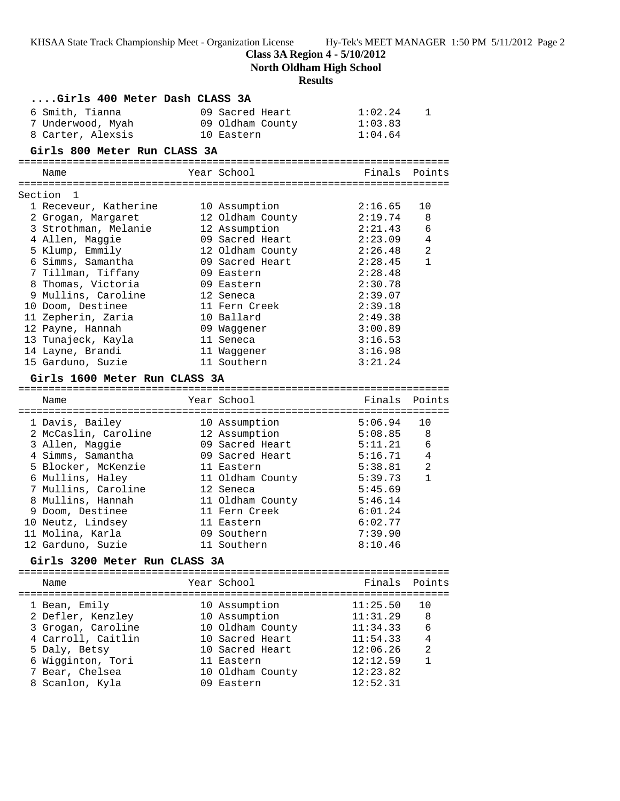**Class 3A Region 4 - 5/10/2012**

**North Oldham High School**

# **Results**

| Girls 400 Meter Dash CLASS 3A            |                                   |          |                |
|------------------------------------------|-----------------------------------|----------|----------------|
| 6 Smith, Tianna                          | 09 Sacred Heart                   | 1:02.24  | 1              |
| 7 Underwood, Myah                        | 09 Oldham County                  | 1:03.83  |                |
| 8 Carter, Alexsis                        | 10 Eastern                        | 1:04.64  |                |
| Girls 800 Meter Run CLASS 3A             |                                   |          |                |
|                                          |                                   |          |                |
| Name                                     | Year School                       |          | Finals Points  |
| Section 1                                |                                   |          |                |
| 1 Receveur, Katherine                    |                                   | 2:16.65  | 10             |
| 2 Grogan, Margaret                       | 10 Assumption<br>12 Oldham County | 2:19.74  | 8              |
| 3 Strothman, Melanie                     | 12 Assumption                     | 2:21.43  | 6              |
| 4 Allen, Maggie                          | 09 Sacred Heart                   | 2:23.09  | 4              |
| 5 Klump, Emmily                          | 12 Oldham County                  | 2:26.48  | 2              |
| 6 Simms, Samantha                        | 09 Sacred Heart                   | 2:28.45  | $\mathbf{1}$   |
| 7 Tillman, Tiffany                       | 09 Eastern                        | 2:28.48  |                |
| 8 Thomas, Victoria                       | 09 Eastern                        | 2:30.78  |                |
| 9 Mullins, Caroline                      | 12 Seneca                         | 2:39.07  |                |
| 10 Doom, Destinee                        | 11 Fern Creek                     | 2:39.18  |                |
| 11 Zepherin, Zaria                       | 10 Ballard                        | 2:49.38  |                |
| 12 Payne, Hannah                         | 09 Waqqener                       | 3:00.89  |                |
| 13 Tunajeck, Kayla                       | 11 Seneca                         | 3:16.53  |                |
| 14 Layne, Brandi                         | 11 Waqqener                       | 3:16.98  |                |
| 15 Garduno, Suzie                        | 11 Southern                       | 3:21.24  |                |
| Girls 1600 Meter Run CLASS 3A            |                                   |          |                |
|                                          |                                   |          |                |
| Name                                     | Year School                       | Finals   | Points         |
|                                          |                                   |          |                |
| 1 Davis, Bailey                          | 10 Assumption                     | 5:06.94  | 10             |
| 2 McCaslin, Caroline                     | 12 Assumption                     | 5:08.85  | 8              |
| 3 Allen, Maggie                          | 09 Sacred Heart                   | 5:11.21  | 6              |
| 4 Simms, Samantha                        | 09 Sacred Heart                   | 5:16.71  | $\overline{4}$ |
| 5 Blocker, McKenzie                      | 11 Eastern                        | 5:38.81  | 2              |
| 6 Mullins, Haley                         | 11 Oldham County                  | 5:39.73  | $\mathbf{1}$   |
| 7 Mullins, Caroline                      | 12 Seneca                         | 5:45.69  |                |
| 8 Mullins, Hannah                        | 11 Oldham County                  | 5:46.14  |                |
| 9 Doom, Destinee                         | 11 Fern Creek                     | 6:01.24  |                |
| 10 Neutz, Lindsey                        | 11 Eastern                        | 6:02.77  |                |
| 11 Molina, Karla                         | 09 Southern                       | 7:39.90  |                |
| 12 Garduno, Suzie                        | 11 Southern                       | 8:10.46  |                |
| Girls 3200 Meter Run CLASS 3A            |                                   |          |                |
|                                          |                                   |          |                |
| Name                                     | Year School                       | Finals   | Points         |
|                                          |                                   | 11:25.50 | 10             |
| 1 Bean, Emily                            | 10 Assumption                     | 11:31.29 | 8              |
| 2 Defler, Kenzley                        | 10 Assumption<br>10 Oldham County | 11:34.33 | 6              |
| 3 Grogan, Caroline<br>4 Carroll, Caitlin | 10 Sacred Heart                   | 11:54.33 | 4              |
|                                          | 10 Sacred Heart                   | 12:06.26 | $\overline{a}$ |
| 5 Daly, Betsy<br>6 Wigginton, Tori       | 11 Eastern                        | 12:12.59 | $\mathbf{1}$   |
| 7 Bear, Chelsea                          | 10 Oldham County                  | 12:23.82 |                |
| 8 Scanlon, Kyla                          | 09 Eastern                        | 12:52.31 |                |
|                                          |                                   |          |                |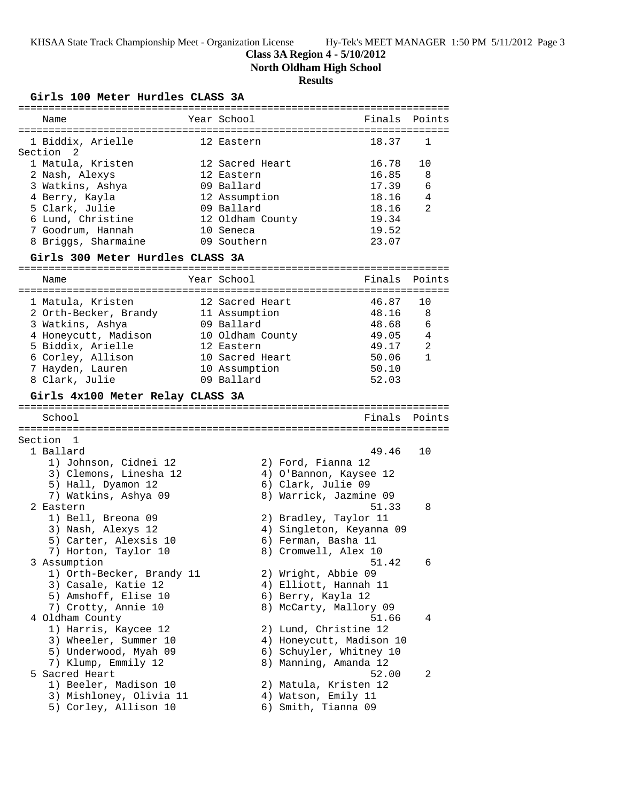## **Class 3A Region 4 - 5/10/2012**

**North Oldham High School**

## **Results**

### **Girls 100 Meter Hurdles CLASS 3A**

| Name                                             | Year School      | Finals Points                              |               |
|--------------------------------------------------|------------------|--------------------------------------------|---------------|
|                                                  |                  |                                            |               |
| 1 Biddix, Arielle                                | 12 Eastern       | 18.37                                      | 1             |
| Section 2                                        |                  |                                            |               |
| 1 Matula, Kristen                                | 12 Sacred Heart  | 16.78                                      | 10            |
| 2 Nash, Alexys                                   | 12 Eastern       | 16.85                                      | 8             |
| 3 Watkins, Ashya                                 | 09 Ballard       | 17.39                                      | 6             |
| 4 Berry, Kayla                                   | 12 Assumption    | 18.16                                      | 4             |
| 5 Clark, Julie                                   | 09 Ballard       | 18.16                                      | 2             |
| 6 Lund, Christine                                | 12 Oldham County | 19.34                                      |               |
|                                                  |                  |                                            |               |
| 7 Goodrum, Hannah                                | 10 Seneca        | 19.52                                      |               |
| 8 Briggs, Sharmaine                              | 09 Southern      | 23.07                                      |               |
| Girls 300 Meter Hurdles CLASS 3A                 |                  |                                            |               |
| Name                                             | Year School      | Finals                                     | Points        |
|                                                  |                  |                                            |               |
| 1 Matula, Kristen                                | 12 Sacred Heart  | 46.87                                      | 10            |
| 2 Orth-Becker, Brandy                            | 11 Assumption    | 48.16                                      | 8             |
| 3 Watkins, Ashya                                 | 09 Ballard       | 48.68                                      | 6             |
| 4 Honeycutt, Madison                             | 10 Oldham County | 49.05                                      | 4             |
| 5 Biddix, Arielle                                | 12 Eastern       | 49.17                                      | 2             |
| 6 Corley, Allison                                | 10 Sacred Heart  | 50.06                                      | $\mathbf{1}$  |
|                                                  |                  |                                            |               |
| 7 Hayden, Lauren                                 | 10 Assumption    | 50.10                                      |               |
| 8 Clark, Julie                                   | 09 Ballard       | 52.03                                      |               |
| Girls 4x100 Meter Relay CLASS 3A                 |                  |                                            |               |
|                                                  |                  |                                            |               |
|                                                  |                  |                                            |               |
| School                                           |                  |                                            | Finals Points |
|                                                  |                  |                                            |               |
| Section 1                                        |                  |                                            |               |
| 1 Ballard                                        |                  | 49.46                                      | 10            |
| 1) Johnson, Cidnei 12                            |                  | 2) Ford, Fianna 12                         |               |
| 3) Clemons, Linesha 12                           |                  | 4) O'Bannon, Kaysee 12                     |               |
|                                                  |                  | 6) Clark, Julie 09                         |               |
| 5) Hall, Dyamon 12                               |                  |                                            |               |
| 7) Watkins, Ashya 09                             |                  | 8) Warrick, Jazmine 09                     |               |
| 2 Eastern                                        |                  | 51.33                                      | 8             |
| 1) Bell, Breona 09                               |                  | 2) Bradley, Taylor 11                      |               |
| 3) Nash, Alexys 12                               |                  | 4) Singleton, Keyanna 09                   |               |
| 5) Carter, Alexsis 10                            |                  | 6) Ferman, Basha 11                        |               |
| 7) Horton, Taylor 10                             |                  | 8) Cromwell, Alex 10                       |               |
| 3 Assumption                                     |                  | 51.42                                      | 6             |
| 1) Orth-Becker, Brandy 11                        |                  | 2) Wright, Abbie 09                        |               |
| 3) Casale, Katie 12                              |                  | 4) Elliott, Hannah 11                      |               |
| 5) Amshoff, Elise 10                             |                  | 6) Berry, Kayla 12                         |               |
| 7) Crotty, Annie 10                              |                  | 8) McCarty, Mallory 09                     |               |
| 4 Oldham County                                  |                  | 51.66                                      | 4             |
| 1) Harris, Kaycee 12                             |                  | 2) Lund, Christine 12                      |               |
| 3) Wheeler, Summer 10                            |                  | 4) Honeycutt, Madison 10                   |               |
|                                                  |                  |                                            |               |
| 5) Underwood, Myah 09                            |                  | 6) Schuyler, Whitney 10                    |               |
| 7) Klump, Emmily 12                              |                  | 8) Manning, Amanda 12                      |               |
| 5 Sacred Heart                                   |                  | 52.00                                      | 2             |
| 1) Beeler, Madison 10                            |                  | 2) Matula, Kristen 12                      |               |
| 3) Mishloney, Olivia 11<br>5) Corley, Allison 10 |                  | 4) Watson, Emily 11<br>6) Smith, Tianna 09 |               |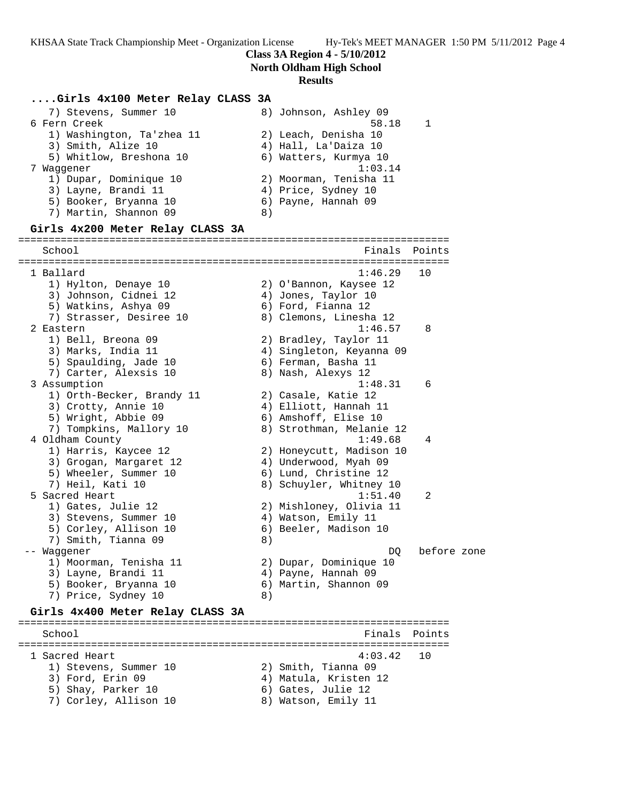**Class 3A Region 4 - 5/10/2012**

**North Oldham High School**

#### **Results**

### **....Girls 4x100 Meter Relay CLASS 3A**

| 7) Stevens, Summer 10     | 8) Johnson, Ashley 09  |
|---------------------------|------------------------|
| 6 Fern Creek              | 58.18                  |
| 1) Washington, Ta'zhea 11 | 2) Leach, Denisha 10   |
| 3) Smith, Alize 10        | 4) Hall, La'Daiza 10   |
| 5) Whitlow, Breshona 10   | 6) Watters, Kurmya 10  |
| Waqqener                  | 1:03.14                |
| 1) Dupar, Dominique 10    | 2) Moorman, Tenisha 11 |
| 3) Layne, Brandi 11       | 4) Price, Sydney 10    |
| 5) Booker, Bryanna 10     | 6) Payne, Hannah 09    |
| 7) Martin, Shannon 09     | 8)                     |

### **Girls 4x200 Meter Relay CLASS 3A**

======================================================================= School **Finals** Points **Points** ======================================================================= 1 Ballard 1:46.29 10 1) Hylton, Denaye 10 2) O'Bannon, Kaysee 12 3) Johnson, Cidnei 12 4) Jones, Taylor 10 5) Watkins, Ashya 09 6) Ford, Fianna 12 7) Strasser, Desiree 10 8) Clemons, Linesha 12 2 Eastern 1:46.57 8 1) Bell, Breona 09 2) Bradley, Taylor 11 3) Marks, India 11 4) Singleton, Keyanna 09 5) Spaulding, Jade 10 (6) Ferman, Basha 11 7) Carter, Alexsis 10 8) Nash, Alexys 12 3 Assumption 1:48.31 6 1) Orth-Becker, Brandy 11 (2) Casale, Katie 12 3) Crotty, Annie 10 4) Elliott, Hannah 11 5) Wright, Abbie 09 6) Amshoff, Elise 10 7) Tompkins, Mallory 10 8) Strothman, Melanie 12 4 Oldham County 1:49.68 4 1) Harris, Kaycee 12 2) Honeycutt, Madison 10 3) Grogan, Margaret 12 4) Underwood, Myah 09 5) Wheeler, Summer 10 6) Lund, Christine 12 7) Heil, Kati 10 8) Schuyler, Whitney 10 5 Sacred Heart 1:51.40 2 1) Gates, Julie 12 2) Mishloney, Olivia 11 3) Stevens, Summer 10 4) Watson, Emily 11 5) Corley, Allison 10 6) Beeler, Madison 10 7) Smith, Tianna 09 8) -- Waggener DQ before zone 1) Moorman, Tenisha 11 2) Dupar, Dominique 10 3) Layne, Brandi 11 (4) Payne, Hannah 09 5) Booker, Bryanna 10 6) Martin, Shannon 09 7) Price, Sydney 10 (8)

#### **Girls 4x400 Meter Relay CLASS 3A**

======================================================================= School **Finals Points** ======================================================================= 1 Sacred Heart 4:03.42 10 1) Stevens, Summer 10 2) Smith, Tianna 09 3) Ford, Erin 09 4) Matula, Kristen 12 5) Shay, Parker 10 6) Gates, Julie 12 7) Corley, Allison 10 8) Watson, Emily 11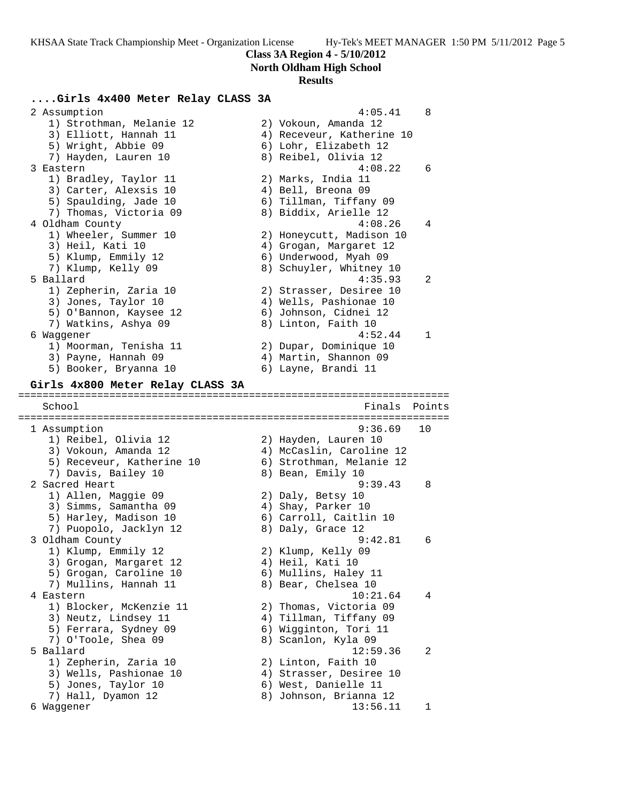**Class 3A Region 4 - 5/10/2012**

**North Oldham High School**

#### **Results**

### **....Girls 4x400 Meter Relay CLASS 3A**

2 Assumption 3 and 3 and 4:05.41 8 1) Strothman, Melanie 12 (2) Vokoun, Amanda 12 3) Elliott, Hannah 11 4) Receveur, Katherine 10 5) Wright, Abbie 09 6) Lohr, Elizabeth 12 7) Hayden, Lauren 10 8) Reibel, Olivia 12 3 Eastern 4:08.22 6 1) Bradley, Taylor 11 2) Marks, India 11 3) Carter, Alexsis 10 (4) Bell, Breona 09 5) Spaulding, Jade 10 6) Tillman, Tiffany 09 7) Thomas, Victoria 09 8) Biddix, Arielle 12 4 Oldham County 4:08.26 4 1) Wheeler, Summer 10 2) Honeycutt, Madison 10 3) Heil, Kati 10 4) Grogan, Margaret 12 5) Klump, Emmily 12 6) Underwood, Myah 09 7) Klump, Kelly 09 8) Schuyler, Whitney 10 5 Ballard 4:35.93 2 1) Zepherin, Zaria 10 2) Strasser, Desiree 10 3) Jones, Taylor 10 4) Wells, Pashionae 10 5) O'Bannon, Kaysee 12 6) Johnson, Cidnei 12 7) Watkins, Ashya 09 8) Linton, Faith 10 6 Waggener 4:52.44 1 1) Moorman, Tenisha 11 2) Dupar, Dominique 10 3) Payne, Hannah 09 4) Martin, Shannon 09 5) Booker, Bryanna 10  $\qquad \qquad$  6) Layne, Brandi 11 **Girls 4x800 Meter Relay CLASS 3A** ======================================================================= School **Finals Points** ======================================================================= 1 Assumption 9:36.69 10 1) Reibel, Olivia 12 2) Hayden, Lauren 10 3) Vokoun, Amanda 12 4) McCaslin, Caroline 12 5) Receveur, Katherine 10 6) Strothman, Melanie 12 7) Davis, Bailey 10 8) Bean, Emily 10 2 Sacred Heart 9:39.43 8 1) Allen, Maggie 09 2) Daly, Betsy 10 3) Simms, Samantha 09 (4) Shay, Parker 10 5) Harley, Madison 10 6) Carroll, Caitlin 10 7) Puopolo, Jacklyn 12 and 8) Daly, Grace 12 3 Oldham County 9:42.81 6 1) Klump, Emmily 12 2) Klump, Kelly 09 3) Grogan, Margaret 12  $\hskip1cm$  4) Heil, Kati 10 5) Grogan, Caroline 10 (6) Mullins, Haley 11 7) Mullins, Hannah 11 8) Bear, Chelsea 10 4 Eastern 10:21.64 4 1) Blocker, McKenzie 11 2) Thomas, Victoria 09 3) Neutz, Lindsey 11 4) Tillman, Tiffany 09 5) Ferrara, Sydney 09 6) Wigginton, Tori 11 7) O'Toole, Shea 09 8) Scanlon, Kyla 09 5 Ballard 12:59.36 2 1) Zepherin, Zaria 10 2) Linton, Faith 10 3) Wells, Pashionae 10 4) Strasser, Desiree 10 5) Jones, Taylor 10 6) West, Danielle 11 7) Hall, Dyamon 12 8) Johnson, Brianna 12 6 Waggener 13:56.11 1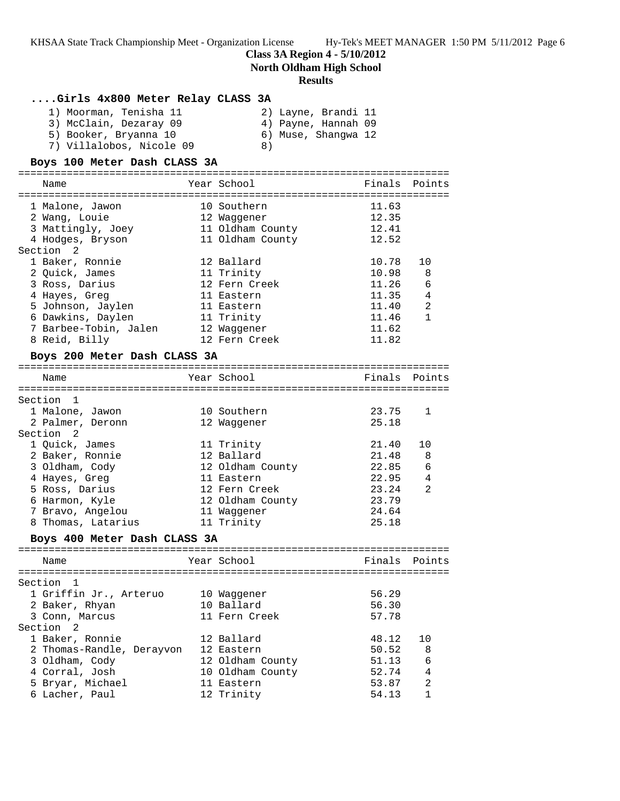### **Class 3A Region 4 - 5/10/2012**

**North Oldham High School**

#### **Results**

### **....Girls 4x800 Meter Relay CLASS 3A**

| 1) Moorman, Tenisha 11   | 2) Layne, Brandi 11 |
|--------------------------|---------------------|
| 3) McClain, Dezaray 09   | 4) Payne, Hannah 09 |
| 5) Booker, Bryanna 10    | 6) Muse, Shanqwa 12 |
| 7) Villalobos, Nicole 09 | 8)                  |

#### **Boys 100 Meter Dash CLASS 3A**

======================================================================= Name The Year School The Finals Points ======================================================================= 1 Malone, Jawon 10 Southern 11.63 2 Wang, Louie 12 Waggener 12.35 3 Mattingly, Joey 11 Oldham County 12.41 4 Hodges, Bryson 11 Oldham County 12.52 Section 2 1 Baker, Ronnie 12 Ballard 10.78 10 2 Quick, James 11 Trinity 10.98 8 3 Ross, Darius 12 Fern Creek 11.26 6 4 Hayes, Greg 11 Eastern 11.35 4 5 Johnson, Jaylen 11 Eastern 11.40 2 6 Dawkins, Daylen 11 Trinity 11.46 1 7 Barbee-Tobin, Jalen 12 Waggener 11.62 8 Reid, Billy 12 Fern Creek 11.82 **Boys 200 Meter Dash CLASS 3A** =======================================================================

| Name               | Year School      | Finals | Points |
|--------------------|------------------|--------|--------|
| Section 1          |                  |        |        |
| 1 Malone, Jawon    | 10 Southern      | 23.75  | -1     |
| 2 Palmer, Deronn   | 12 Waqqener      | 25.18  |        |
| Section 2          |                  |        |        |
| 1 Ouick, James     | 11 Trinity       | 21.40  | 10     |
| 2 Baker, Ronnie    | 12 Ballard       | 21.48  | - 8    |
| 3 Oldham, Cody     | 12 Oldham County | 22.85  | 6      |
| 4 Hayes, Greg      | 11 Eastern       | 22.95  | 4      |
| 5 Ross, Darius     | 12 Fern Creek    | 23.24  | 2      |
| 6 Harmon, Kyle     | 12 Oldham County | 23.79  |        |
| 7 Bravo, Angelou   | 11 Waqqener      | 24.64  |        |
| 8 Thomas, Latarius | 11 Trinity       | 25.18  |        |

### **Boys 400 Meter Dash CLASS 3A**

| Name                      | Year School      | Finals Points |                |
|---------------------------|------------------|---------------|----------------|
| Section 1                 |                  |               |                |
| 1 Griffin Jr., Arteruo    | 10 Waqqener      | 56.29         |                |
| 2 Baker, Rhyan            | 10 Ballard       | 56.30         |                |
| 3 Conn, Marcus            | 11 Fern Creek    | 57.78         |                |
| Section 2                 |                  |               |                |
| 1 Baker, Ronnie           | 12 Ballard       | 48.12         |                |
| 2 Thomas-Randle, Derayvon | 12 Eastern       | 50.52 8       |                |
| 3 Oldham, Cody            | 12 Oldham County | 51.13         | 6              |
| 4 Corral, Josh            | 10 Oldham County | 52.74         | $\overline{4}$ |
| 5 Bryar, Michael          | 11 Eastern       | 53.87         | $\mathfrak{D}$ |
| 6 Lacher, Paul            | 12 Trinity       | 54.13         | 1              |
|                           |                  |               |                |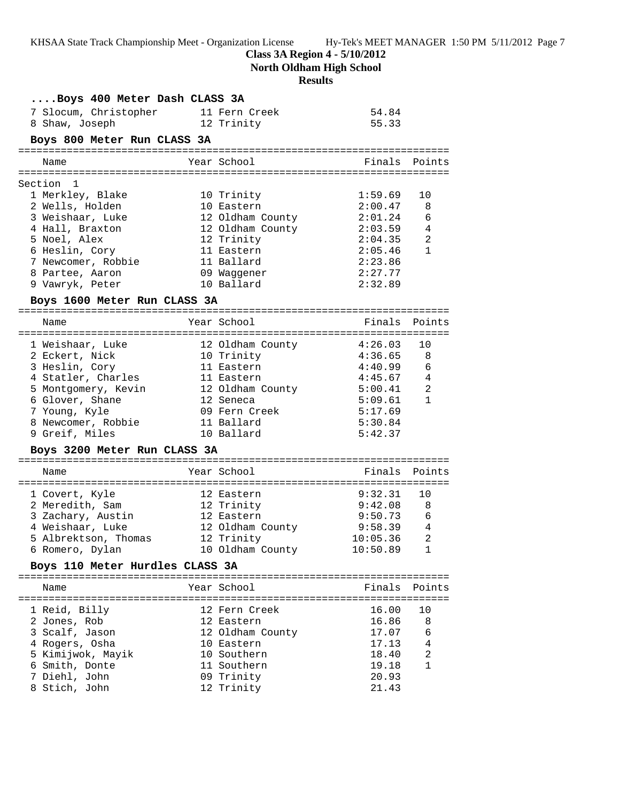**Class 3A Region 4 - 5/10/2012**

**North Oldham High School**

# **Results**

| Boys 400 Meter Dash CLASS 3A    |                            |                    |                |
|---------------------------------|----------------------------|--------------------|----------------|
| 7 Slocum, Christopher           | 11 Fern Creek              | 54.84              |                |
| 8 Shaw, Joseph                  | 12 Trinity                 | 55.33              |                |
| Boys 800 Meter Run CLASS 3A     |                            |                    |                |
| Name                            | Year School                | Finals             | Points         |
|                                 |                            |                    |                |
| Section 1                       |                            |                    |                |
| 1 Merkley, Blake                | 10 Trinity                 | 1:59.69            | 10             |
| 2 Wells, Holden                 | 10 Eastern                 | 2:00.47            | 8              |
| 3 Weishaar, Luke                | 12 Oldham County           | 2:01.24            | 6              |
| 4 Hall, Braxton                 | 12 Oldham County 2:03.59 4 |                    |                |
| 5 Noel, Alex                    | 12 Trinity                 | 2:04.35            | 2              |
| 6 Heslin, Cory                  | 11 Eastern                 | 2:05.46            | $\mathbf{1}$   |
| 7 Newcomer, Robbie              | 11 Ballard                 | 2:23.86            |                |
| 8 Partee, Aaron                 | 09 Waqqener                | 2:27.77            |                |
| 9 Vawryk, Peter                 | 10 Ballard                 | 2:32.89            |                |
| Boys 1600 Meter Run CLASS 3A    |                            |                    |                |
| Name                            | Year School                | Finals             | Points         |
|                                 |                            |                    |                |
| 1 Weishaar, Luke                | 12 Oldham County           | 4:26.03            | 10             |
| 2 Eckert, Nick                  | 10 Trinity                 | 4:36.65            | -8             |
| 3 Heslin, Cory                  | 11 Eastern                 | $4:40.99$ 6        |                |
| 4 Statler, Charles              | 11 Eastern                 | $4:45.67$ 4        |                |
| 5 Montgomery, Kevin             | 12 Oldham County           | 5:00.41            | 2              |
| 6 Glover, Shane                 | 12 Seneca                  | 5:09.61<br>5:17.69 | $\mathbf{1}$   |
| 7 Young, Kyle                   | 09 Fern Creek              |                    |                |
| 8 Newcomer, Robbie              | 11 Ballard<br>10 Ballard   | 5:30.84<br>5:42.37 |                |
| 9 Greif, Miles                  |                            |                    |                |
| Boys 3200 Meter Run CLASS 3A    |                            |                    |                |
| Name                            | Year School                | Finals             | Points         |
| 1 Covert, Kyle                  | 12 Eastern                 | 9:32.31            | 10             |
| 2 Meredith, Sam                 | 12 Trinity                 | 9:42.08            | 8              |
| 3 Zachary, Austin               | 12 Eastern                 | 9:50.73            | 6              |
| 4 Weishaar, Luke                | 12 Oldham County           | 9:58.39            | $\overline{4}$ |
| 5 Albrektson, Thomas            | 12 Trinity                 | 10:05.36           | 2              |
| 6 Romero, Dylan                 | 10 Oldham County           | 10:50.89           | $\mathbf 1$    |
| Boys 110 Meter Hurdles CLASS 3A |                            |                    |                |
| Name                            | Year School                |                    | Finals Points  |
|                                 |                            |                    |                |
| 1 Reid, Billy                   | 12 Fern Creek              | 16.00              | 10             |
| 2 Jones, Rob                    | 12 Eastern                 | 16.86              | 8              |
| 3 Scalf, Jason                  | 12 Oldham County           | 17.07              | 6              |
| 4 Rogers, Osha                  | 10 Eastern                 | 17.13              | 4              |
| 5 Kimijwok, Mayik               | 10 Southern                | 18.40              | 2              |
| 6 Smith, Donte                  | 11 Southern                | 19.18              | 1              |
| 7 Diehl, John                   | 09 Trinity                 | 20.93              |                |
| 8 Stich, John                   | 12 Trinity                 | 21.43              |                |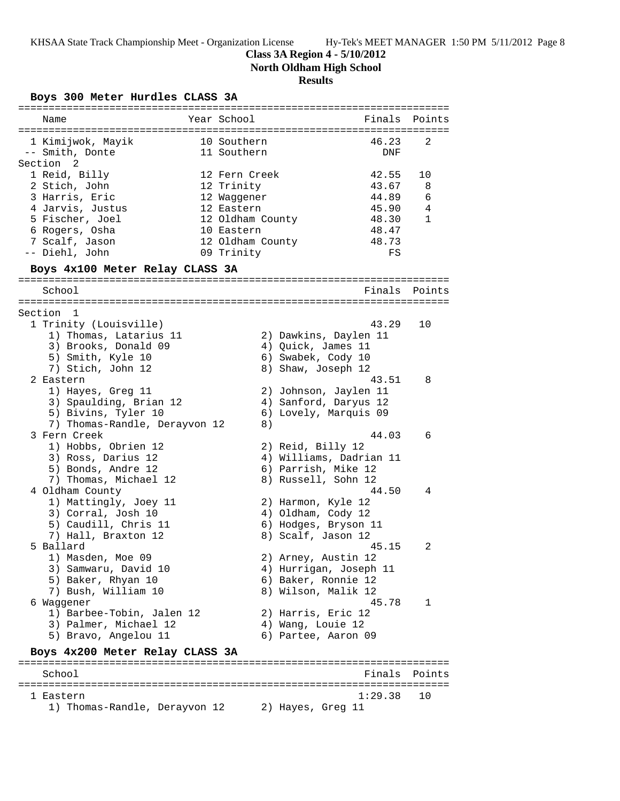## **Class 3A Region 4 - 5/10/2012**

**North Oldham High School**

## **Results**

## **Boys 300 Meter Hurdles CLASS 3A**

| Name                            | Year School      |                   | Finals                  | Points        |
|---------------------------------|------------------|-------------------|-------------------------|---------------|
|                                 |                  |                   |                         |               |
| 1 Kimijwok, Mayik               | 10 Southern      |                   | 46.23                   | 2             |
| -- Smith, Donte                 | 11 Southern      |                   | DNF                     |               |
| Section <sub>2</sub>            |                  |                   |                         |               |
| 1 Reid, Billy                   | 12 Fern Creek    |                   | 42.55                   | 10            |
| 2 Stich, John                   | 12 Trinity       |                   | 43.67                   | 8             |
| 3 Harris, Eric                  | 12 Waggener      |                   | 44.89                   | 6             |
| 4 Jarvis, Justus                | 12 Eastern       |                   | 45.90                   | 4             |
| 5 Fischer, Joel                 | 12 Oldham County |                   | 48.30                   | $\mathbf{1}$  |
| 6 Rogers, Osha                  | 10 Eastern       |                   | 48.47                   |               |
| 7 Scalf, Jason                  | 12 Oldham County |                   | 48.73                   |               |
| -- Diehl, John                  | 09 Trinity       |                   | FS                      |               |
| Boys 4x100 Meter Relay CLASS 3A |                  |                   |                         |               |
| School                          |                  |                   |                         | Finals Points |
|                                 |                  |                   |                         |               |
| Section<br>1                    |                  |                   |                         |               |
| 1 Trinity (Louisville)          |                  |                   | 43.29                   | 10            |
| 1) Thomas, Latarius 11          |                  |                   | 2) Dawkins, Daylen 11   |               |
| 3) Brooks, Donald 09            |                  |                   | 4) Quick, James 11      |               |
| 5) Smith, Kyle 10               |                  |                   | 6) Swabek, Cody 10      |               |
| 7) Stich, John 12               |                  |                   | 8) Shaw, Joseph 12      |               |
| 2 Eastern                       |                  |                   | 43.51                   | 8             |
| 1) Hayes, Greg 11               |                  |                   | 2) Johnson, Jaylen 11   |               |
| 3) Spaulding, Brian 12          |                  |                   | 4) Sanford, Daryus 12   |               |
| 5) Bivins, Tyler 10             |                  |                   | 6) Lovely, Marquis 09   |               |
| 7) Thomas-Randle, Derayvon 12   | 8)               |                   |                         |               |
| 3 Fern Creek                    |                  |                   | 44.03                   | 6             |
| 1) Hobbs, Obrien 12             |                  |                   |                         |               |
|                                 |                  | 2) Reid, Billy 12 |                         |               |
| 3) Ross, Darius 12              |                  |                   | 4) Williams, Dadrian 11 |               |
| 5) Bonds, Andre 12              |                  |                   | 6) Parrish, Mike 12     |               |
| 7) Thomas, Michael 12           |                  |                   | 8) Russell, Sohn 12     |               |
| 4 Oldham County                 |                  |                   | 44.50                   | 4             |
| 1) Mattingly, Joey 11           |                  |                   | 2) Harmon, Kyle 12      |               |
| 3) Corral, Josh 10              |                  |                   | 4) Oldham, Cody 12      |               |
| 5) Caudill, Chris 11            |                  |                   | 6) Hodges, Bryson 11    |               |
| 7) Hall, Braxton 12             |                  |                   | 8) Scalf, Jason 12      |               |
| 5 Ballard                       |                  |                   | 45.15                   | 2             |
| 1) Masden, Moe 09               |                  |                   | 2) Arney, Austin 12     |               |
| 3) Samwaru, David 10            |                  |                   | 4) Hurrigan, Joseph 11  |               |
| 5) Baker, Rhyan 10              |                  |                   | 6) Baker, Ronnie 12     |               |
| 7) Bush, William 10             |                  |                   | 8) Wilson, Malik 12     |               |
| 6 Waggener                      |                  |                   | 45.78                   | 1             |
| 1) Barbee-Tobin, Jalen 12       |                  |                   | 2) Harris, Eric 12      |               |
| 3) Palmer, Michael 12           |                  | 4) Wang, Louie 12 |                         |               |
| 5) Bravo, Angelou 11            |                  |                   | 6) Partee, Aaron 09     |               |
|                                 |                  |                   |                         |               |
| Boys 4x200 Meter Relay CLASS 3A |                  |                   |                         |               |
| School                          |                  |                   | Finals                  | Points        |
|                                 |                  |                   |                         |               |
| 1 Eastern                       |                  |                   | 1:29.38                 | 10            |
| 1) Thomas-Randle, Derayvon 12   |                  | 2) Hayes, Greg 11 |                         |               |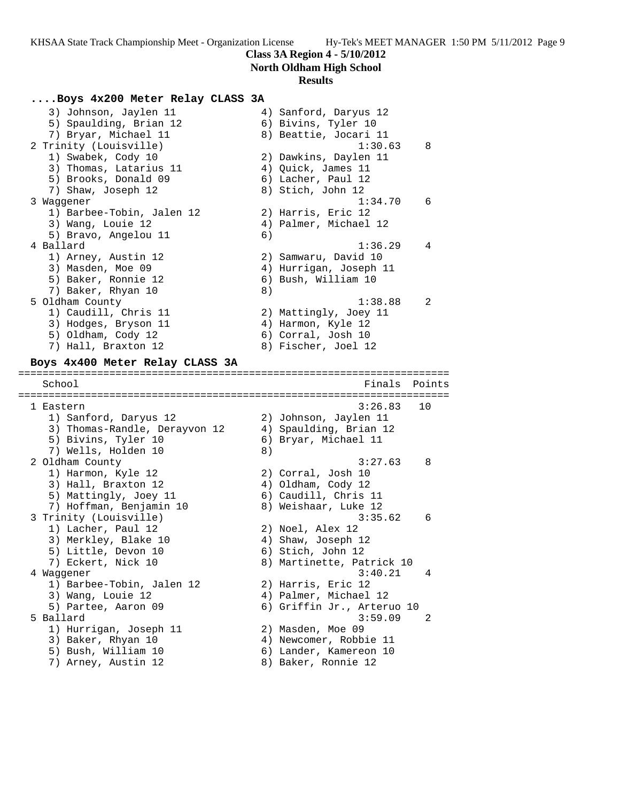### **Class 3A Region 4 - 5/10/2012**

**North Oldham High School**

#### **Results**

### **....Boys 4x200 Meter Relay CLASS 3A**

 3) Johnson, Jaylen 11 4) Sanford, Daryus 12 5) Spaulding, Brian 12 (6) Bivins, Tyler 10 7) Bryar, Michael 11 8) Beattie, Jocari 11 2 Trinity (Louisville) 1:30.63 8 1) Swabek, Cody 10 2) Dawkins, Daylen 11 3) Thomas, Latarius 11 (4) Quick, James 11 5) Brooks, Donald 09 6) Lacher, Paul 12 7) Shaw, Joseph 12 8) Stich, John 12 3 Waggener 1:34.70 6 1) Barbee-Tobin, Jalen 12 2) Harris, Eric 12 3) Wang, Louie 12 4) Palmer, Michael 12 5) Bravo, Angelou 11 6) 4 Ballard 1:36.29 4 1) Arney, Austin 12 2) Samwaru, David 10 3) Masden, Moe 09 4) Hurrigan, Joseph 11 5) Baker, Ronnie 12 (6) Bush, William 10 7) Baker, Rhyan 10 8) 5 Oldham County 1:38.88 2 1) Caudill, Chris 11 2) Mattingly, Joey 11 3) Hodges, Bryson 11 (4) Harmon, Kyle 12 5) Oldham, Cody 12 6) Corral, Josh 10 7) Hall, Braxton 12 (8) Fischer, Joel 12 **Boys 4x400 Meter Relay CLASS 3A** ======================================================================= School **Finals** Points ======================================================================= 1 Eastern 3:26.83 10 1) Sanford, Daryus 12 2) Johnson, Jaylen 11 3) Thomas-Randle, Derayvon 12 4) Spaulding, Brian 12 5) Bivins, Tyler 10 6) Bryar, Michael 11 7) Wells, Holden 10 8) 2 Oldham County 3:27.63 8 1) Harmon, Kyle 12 2) Corral, Josh 10 3) Hall, Braxton 12 (4) Oldham, Cody 12 5) Mattingly, Joey 11 (6) Caudill, Chris 11 7) Hoffman, Benjamin 10 8) Weishaar, Luke 12 3 Trinity (Louisville) 3:35.62 6 1) Lacher, Paul 12 2) Noel, Alex 12 3) Merkley, Blake 10 (4) Shaw, Joseph 12

5) Little, Devon 10 (6) Stich, John 12

 1) Barbee-Tobin, Jalen 12 2) Harris, Eric 12 3) Wang, Louie 12 4) Palmer, Michael 12 5) Partee, Aaron 09 6) Griffin Jr., Arteruo 10 5 Ballard 3:59.09 2

 1) Hurrigan, Joseph 11 2) Masden, Moe 09 3) Baker, Rhyan 10 4) Newcomer, Robbie 11 5) Bush, William 10 6) Lander, Kamereon 10 7) Arney, Austin 12 and 8) Baker, Ronnie 12

 7) Eckert, Nick 10 8) Martinette, Patrick 10 4 Waggener 3:40.21 4